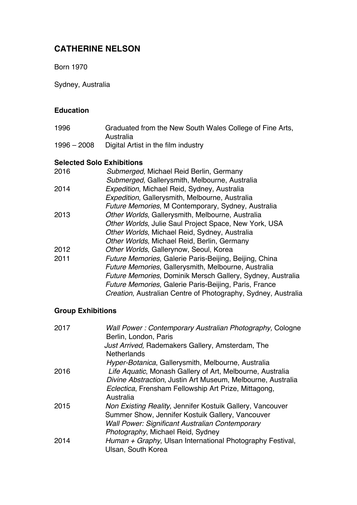# **CATHERINE NELSON**

Born 1970

Sydney, Australia

### **Education**

| 1996          | Graduated from the New South Wales College of Fine Arts, |
|---------------|----------------------------------------------------------|
|               | Australia                                                |
| $1996 - 2008$ | Digital Artist in the film industry                      |

### **Selected Solo Exhibitions**

| 2016 | Submerged, Michael Reid Berlin, Germany                       |
|------|---------------------------------------------------------------|
|      | Submerged, Gallerysmith, Melbourne, Australia                 |
| 2014 | Expedition, Michael Reid, Sydney, Australia                   |
|      | Expedition, Gallerysmith, Melbourne, Australia                |
|      | Future Memories, M Contemporary, Sydney, Australia            |
| 2013 | Other Worlds, Gallerysmith, Melbourne, Australia              |
|      | Other Worlds, Julie Saul Project Space, New York, USA         |
|      | Other Worlds, Michael Reid, Sydney, Australia                 |
|      | Other Worlds, Michael Reid, Berlin, Germany                   |
| 2012 | Other Worlds, Gallerynow, Seoul, Korea                        |
| 2011 | Future Memories, Galerie Paris-Beijing, Beijing, China        |
|      | Future Memories, Gallerysmith, Melbourne, Australia           |
|      | Future Memories, Dominik Mersch Gallery, Sydney, Australia    |
|      | Future Memories, Galerie Paris-Beijing, Paris, France         |
|      | Creation, Australian Centre of Photography, Sydney, Australia |

## **Group Exhibitions**

| 2017 | Wall Power: Contemporary Australian Photography, Cologne<br>Berlin, London, Paris |
|------|-----------------------------------------------------------------------------------|
|      | Just Arrived, Rademakers Gallery, Amsterdam, The                                  |
|      | <b>Netherlands</b>                                                                |
|      | Hyper-Botanica, Gallerysmith, Melbourne, Australia                                |
| 2016 | Life Aquatic, Monash Gallery of Art, Melbourne, Australia                         |
|      | Divine Abstraction, Justin Art Museum, Melbourne, Australia                       |
|      | Eclectica, Frensham Fellowship Art Prize, Mittagong,                              |
|      | Australia                                                                         |
| 2015 | Non Existing Reality, Jennifer Kostuik Gallery, Vancouver                         |
|      | Summer Show, Jennifer Kostuik Gallery, Vancouver                                  |
|      | <b>Wall Power: Significant Australian Contemporary</b>                            |
|      | Photography, Michael Reid, Sydney                                                 |
| 2014 | Human + Graphy, Ulsan International Photography Festival,                         |
|      | Ulsan, South Korea                                                                |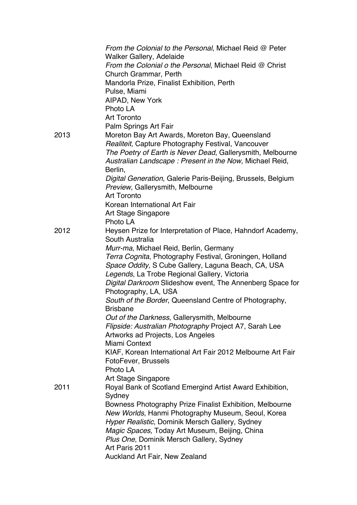|      | From the Colonial to the Personal, Michael Reid @ Peter                                               |
|------|-------------------------------------------------------------------------------------------------------|
|      | <b>Walker Gallery, Adelaide</b>                                                                       |
|      | From the Colonial o the Personal, Michael Reid @ Christ                                               |
|      | Church Grammar, Perth                                                                                 |
|      | Mandorla Prize, Finalist Exhibition, Perth                                                            |
|      | Pulse, Miami                                                                                          |
|      | AIPAD, New York                                                                                       |
|      | Photo LA                                                                                              |
|      | <b>Art Toronto</b>                                                                                    |
| 2013 | Palm Springs Art Fair                                                                                 |
|      | Moreton Bay Art Awards, Moreton Bay, Queensland<br>Realiteit, Capture Photography Festival, Vancouver |
|      | The Poetry of Earth is Never Dead, Gallerysmith, Melbourne                                            |
|      | Australian Landscape: Present in the Now, Michael Reid,                                               |
|      | Berlin,                                                                                               |
|      | Digital Generation, Galerie Paris-Beijing, Brussels, Belgium                                          |
|      | Preview, Gallerysmith, Melbourne                                                                      |
|      | <b>Art Toronto</b>                                                                                    |
|      | Korean International Art Fair                                                                         |
|      | Art Stage Singapore                                                                                   |
|      | Photo LA                                                                                              |
| 2012 | Heysen Prize for Interpretation of Place, Hahndorf Academy,                                           |
|      | South Australia                                                                                       |
|      | Murr-ma, Michael Reid, Berlin, Germany                                                                |
|      | Terra Cognita, Photography Festival, Groningen, Holland                                               |
|      | Space Oddity, S Cube Gallery, Laguna Beach, CA, USA                                                   |
|      | Legends, La Trobe Regional Gallery, Victoria                                                          |
|      | Digital Darkroom Slideshow event, The Annenberg Space for                                             |
|      | Photography, LA, USA                                                                                  |
|      | South of the Border, Queensland Centre of Photography,                                                |
|      | <b>Brisbane</b>                                                                                       |
|      | Out of the Darkness, Gallerysmith, Melbourne                                                          |
|      | Flipside: Australian Photography Project A7, Sarah Lee                                                |
|      | Artworks ad Projects, Los Angeles                                                                     |
|      | Miami Context                                                                                         |
|      | KIAF, Korean International Art Fair 2012 Melbourne Art Fair                                           |
|      | FotoFever, Brussels<br>Photo LA                                                                       |
|      | Art Stage Singapore                                                                                   |
| 2011 | Royal Bank of Scotland Emergind Artist Award Exhibition,                                              |
|      | Sydney                                                                                                |
|      | Bowness Photography Prize Finalist Exhibition, Melbourne                                              |
|      | New Worlds, Hanmi Photography Museum, Seoul, Korea                                                    |
|      | Hyper Realistic, Dominik Mersch Gallery, Sydney                                                       |
|      | Magic Spaces, Today Art Museum, Beijing, China                                                        |
|      | Plus One, Dominik Mersch Gallery, Sydney                                                              |
|      | Art Paris 2011                                                                                        |
|      | <b>Auckland Art Fair, New Zealand</b>                                                                 |